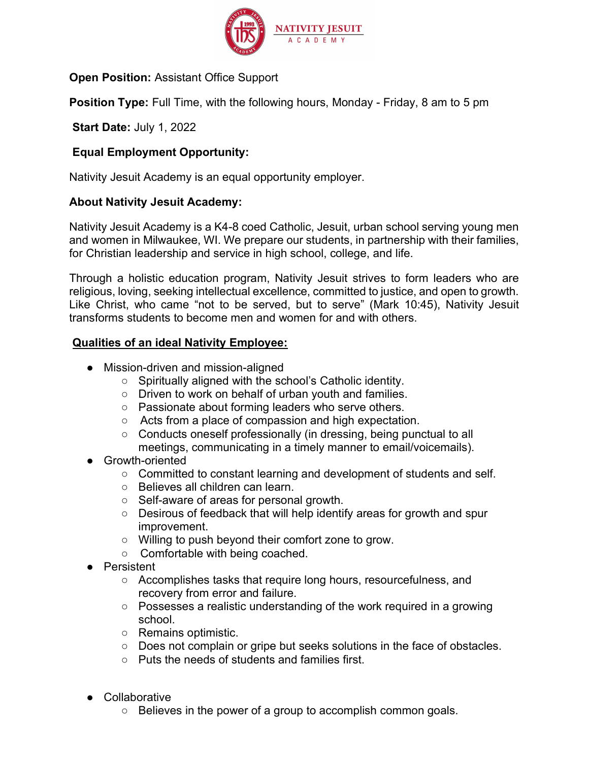

Open Position: Assistant Office Support

**Position Type:** Full Time, with the following hours, Monday - Friday, 8 am to 5 pm

Start Date: July 1, 2022

# Equal Employment Opportunity:

Nativity Jesuit Academy is an equal opportunity employer.

### About Nativity Jesuit Academy:

Nativity Jesuit Academy is a K4-8 coed Catholic, Jesuit, urban school serving young men and women in Milwaukee, WI. We prepare our students, in partnership with their families, for Christian leadership and service in high school, college, and life.

Through a holistic education program, Nativity Jesuit strives to form leaders who are religious, loving, seeking intellectual excellence, committed to justice, and open to growth. Like Christ, who came "not to be served, but to serve" (Mark 10:45), Nativity Jesuit transforms students to become men and women for and with others.

### Qualities of an ideal Nativity Employee:

- Mission-driven and mission-aligned
	- Spiritually aligned with the school's Catholic identity.
	- Driven to work on behalf of urban youth and families.
	- Passionate about forming leaders who serve others.
	- Acts from a place of compassion and high expectation.
	- Conducts oneself professionally (in dressing, being punctual to all meetings, communicating in a timely manner to email/voicemails).
- Growth-oriented
	- Committed to constant learning and development of students and self.
	- Believes all children can learn.
	- Self-aware of areas for personal growth.
	- Desirous of feedback that will help identify areas for growth and spur improvement.
	- Willing to push beyond their comfort zone to grow.
	- Comfortable with being coached.
- Persistent
	- Accomplishes tasks that require long hours, resourcefulness, and recovery from error and failure.
	- Possesses a realistic understanding of the work required in a growing school.
	- Remains optimistic.
	- Does not complain or gripe but seeks solutions in the face of obstacles.
	- Puts the needs of students and families first.
- Collaborative
	- Believes in the power of a group to accomplish common goals.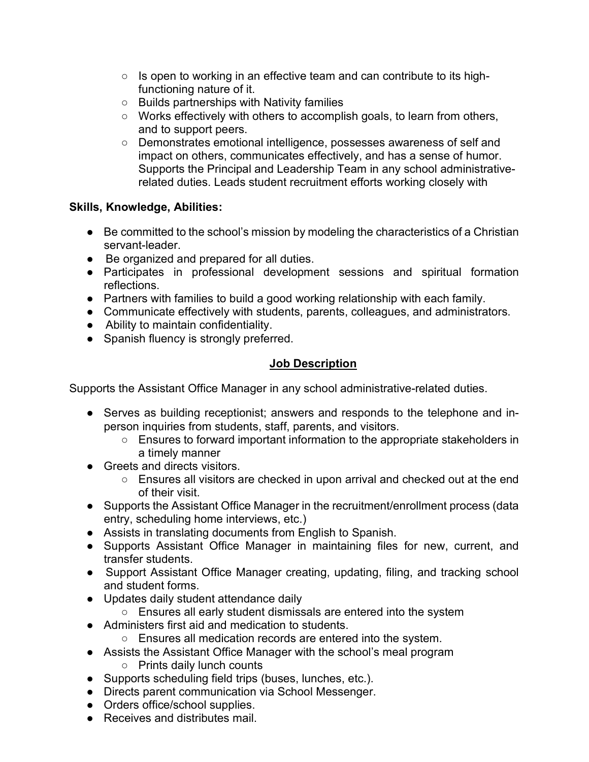- $\circ$  Is open to working in an effective team and can contribute to its highfunctioning nature of it.
- Builds partnerships with Nativity families
- $\circ$  Works effectively with others to accomplish goals, to learn from others, and to support peers.
- Demonstrates emotional intelligence, possesses awareness of self and impact on others, communicates effectively, and has a sense of humor. Supports the Principal and Leadership Team in any school administrativerelated duties. Leads student recruitment efforts working closely with

# Skills, Knowledge, Abilities:

- Be committed to the school's mission by modeling the characteristics of a Christian servant-leader.
- Be organized and prepared for all duties.
- Participates in professional development sessions and spiritual formation reflections.
- Partners with families to build a good working relationship with each family.
- Communicate effectively with students, parents, colleagues, and administrators.
- Ability to maintain confidentiality.
- Spanish fluency is strongly preferred.

# Job Description

Supports the Assistant Office Manager in any school administrative-related duties.

- Serves as building receptionist; answers and responds to the telephone and inperson inquiries from students, staff, parents, and visitors.
	- Ensures to forward important information to the appropriate stakeholders in a timely manner
- Greets and directs visitors.
	- Ensures all visitors are checked in upon arrival and checked out at the end of their visit.
- Supports the Assistant Office Manager in the recruitment/enrollment process (data entry, scheduling home interviews, etc.)
- Assists in translating documents from English to Spanish.
- Supports Assistant Office Manager in maintaining files for new, current, and transfer students.
- Support Assistant Office Manager creating, updating, filing, and tracking school and student forms.
- Updates daily student attendance daily
	- Ensures all early student dismissals are entered into the system
- Administers first aid and medication to students.
	- Ensures all medication records are entered into the system.
- Assists the Assistant Office Manager with the school's meal program ○ Prints daily lunch counts
- Supports scheduling field trips (buses, lunches, etc.).
- Directs parent communication via School Messenger.
- Orders office/school supplies.
- Receives and distributes mail.